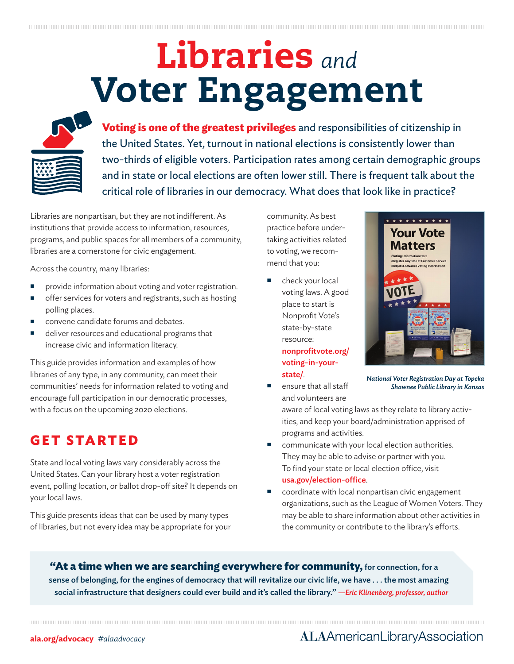# Libraries *and* Voter Engagement



**Voting is one of the greatest privileges** and responsibilities of citizenship in the United States. Yet, turnout in national elections is consistently lower than two-thirds of eligible voters. Participation rates among certain demographic groups and in state or local elections are often lower still. There is frequent talk about the critical role of libraries in our democracy. What does that look like in practice?

Libraries are nonpartisan, but they are not indifferent. As institutions that provide access to information, resources, programs, and public spaces for all members of a community, libraries are a cornerstone for civic engagement.

Across the country, many libraries:

- provide information about voting and voter registration.
- **n** offer services for voters and registrants, such as hosting polling places.
- convene candidate forums and debates.
- deliver resources and educational programs that increase civic and information literacy.

This guide provides information and examples of how libraries of any type, in any community, can meet their communities' needs for information related to voting and encourage full participation in our democratic processes, with a focus on the upcoming 2020 elections.

## **GET STARTED**

State and local voting laws vary considerably across the United States. Can your library host a voter registration event, polling location, or ballot drop-off site? It depends on your local laws.

This guide presents ideas that can be used by many types of libraries, but not every idea may be appropriate for your community. As best practice before undertaking activities related to voting, we recommend that you:

 check your local voting laws. A good place to start is Nonprofit Vote's state-by-state resource: nonprofitvote.org/ voting-in-yourstate/.

> ensure that all staff and volunteers are



*National Voter Registration Day at Topeka Shawnee Public Library in Kansas*

aware of local voting laws as they relate to library activities, and keep your board/administration apprised of programs and activities.

- communicate with your local election authorities. They may be able to advise or partner with you. To find your state or local election office, visit usa.gov/election-office.
- coordinate with local nonpartisan civic engagement organizations, such as the League of Women Voters. They may be able to share information about other activities in the community or contribute to the library's efforts.

**"At a time when we are searching everywhere for community,** for connection, for a sense of belonging, for the engines of democracy that will revitalize our civic life, we have . . . the most amazing social infrastructure that designers could ever build and it's called the library." *—Eric Klinenberg, professor, author*

#### **ala.org/advocacy** *#alaadvocacy*

### **ALAAmericanLibraryAssociation**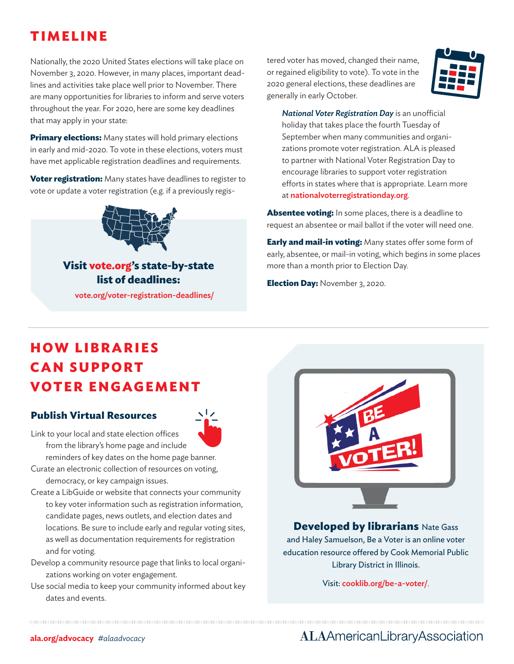## **TIMELINE**

Nationally, the 2020 United States elections will take place on November 3, 2020. However, in many places, important deadlines and activities take place well prior to November. There are many opportunities for libraries to inform and serve voters throughout the year. For 2020, here are some key deadlines that may apply in your state:

**Primary elections:** Many states will hold primary elections in early and mid-2020. To vote in these elections, voters must have met applicable registration deadlines and requirements.

**Voter registration:** Many states have deadlines to register to vote or update a voter registration (e.g. if a previously regis-



**Visit vote.org's state-by-state list of deadlines:**  vote.org/voter-registration-deadlines/

tered voter has moved, changed their name, or regained eligibility to vote). To vote in the 2020 general elections, these deadlines are generally in early October.



**National Voter Registration Day** is an unofficial holiday that takes place the fourth Tuesday of September when many communities and organizations promote voter registration. ALA is pleased to partner with National Voter Registration Day to encourage libraries to support voter registration efforts in states where that is appropriate. Learn more at nationalvoterregistrationday.org.

**Absentee voting:** In some places, there is a deadline to request an absentee or mail ballot if the voter will need one.

**Early and mail-in voting:** Many states offer some form of early, absentee, or mail-in voting, which begins in some places more than a month prior to Election Day.

**Election Day:** November 3, 2020.

# **H O W L I B R A R I E S C A N S U P P O RT VOTER ENGAGEMENT**

#### **Publish Virtual Resources**



Link to your local and state election offices from the library's home page and include

reminders of key dates on the home page banner. Curate an electronic collection of resources on voting,

democracy, or key campaign issues.

- Create a LibGuide or website that connects your community to key voter information such as registration information, candidate pages, news outlets, and election dates and locations. Be sure to include early and regular voting sites, as well as documentation requirements for registration and for voting.
- Develop a community resource page that links to local organizations working on voter engagement.
- Use social media to keep your community informed about key dates and events.



#### **Developed by librarians** Nate Gass

and Haley Samuelson, Be a Voter is an online voter education resource offered by Cook Memorial Public Library District in Illinois.

Visit: cooklib.org/be-a-voter/.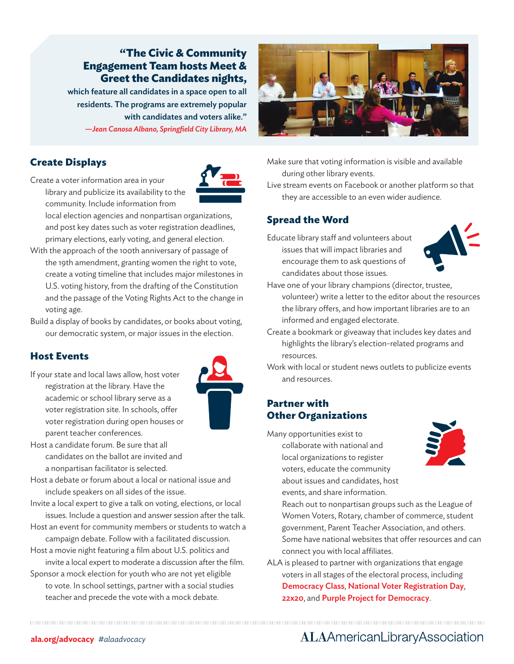#### **"The Civic & Community Engagement Team hosts Meet & Greet the Candidates nights,**

which feature all candidates in a space open to all residents. The programs are extremely popular with candidates and voters alike." *—Jean Canosa Albano, Springfield City Library, MA*

#### **Create Displays**

Create a voter information area in your library and publicize its availability to the community. Include information from

local election agencies and nonpartisan organizations, and post key dates such as voter registration deadlines, primary elections, early voting, and general election.

- With the approach of the 100th anniversary of passage of the 19th amendment, granting women the right to vote, create a voting timeline that includes major milestones in U.S. voting history, from the drafting of the Constitution and the passage of the Voting Rights Act to the change in voting age.
- Build a display of books by candidates, or books about voting, our democratic system, or major issues in the election.

#### **Host Events**

If your state and local laws allow, host voter registration at the library. Have the academic or school library serve as a voter registration site. In schools, offer voter registration during open houses or parent teacher conferences.



- Host a candidate forum. Be sure that all candidates on the ballot are invited and a nonpartisan facilitator is selected.
- Host a debate or forum about a local or national issue and include speakers on all sides of the issue.
- Invite a local expert to give a talk on voting, elections, or local issues. Include a question and answer session after the talk.
- Host an event for community members or students to watch a campaign debate. Follow with a facilitated discussion.
- Host a movie night featuring a film about U.S. politics and
- invite a local expert to moderate a discussion after the film. Sponsor a mock election for youth who are not yet eligible to vote. In school settings, partner with a social studies teacher and precede the vote with a mock debate.



Make sure that voting information is visible and available during other library events.

Live stream events on Facebook or another platform so that they are accessible to an even wider audience.

#### **Spread the Word**

Educate library staff and volunteers about issues that will impact libraries and encourage them to ask questions of candidates about those issues.



- Have one of your library champions (director, trustee, volunteer) write a letter to the editor about the resources the library offers, and how important libraries are to an informed and engaged electorate.
- Create a bookmark or giveaway that includes key dates and highlights the library's election-related programs and resources.
- Work with local or student news outlets to publicize events and resources.

#### **Partner with Other Organizations**

Many opportunities exist to

collaborate with national and local organizations to register voters, educate the community about issues and candidates, host events, and share information.



Reach out to nonpartisan groups such as the League of Women Voters, Rotary, chamber of commerce, student government, Parent Teacher Association, and others. Some have national websites that offer resources and can connect you with local affiliates.

ALA is pleased to partner with organizations that engage voters in all stages of the electoral process, including Democracy Class, National Voter Registration Day, 22x20, and Purple Project for Democracy.

## **ALAAmericanLibraryAssociation**

#### **ala.org/advocacy** *#alaadvocacy*